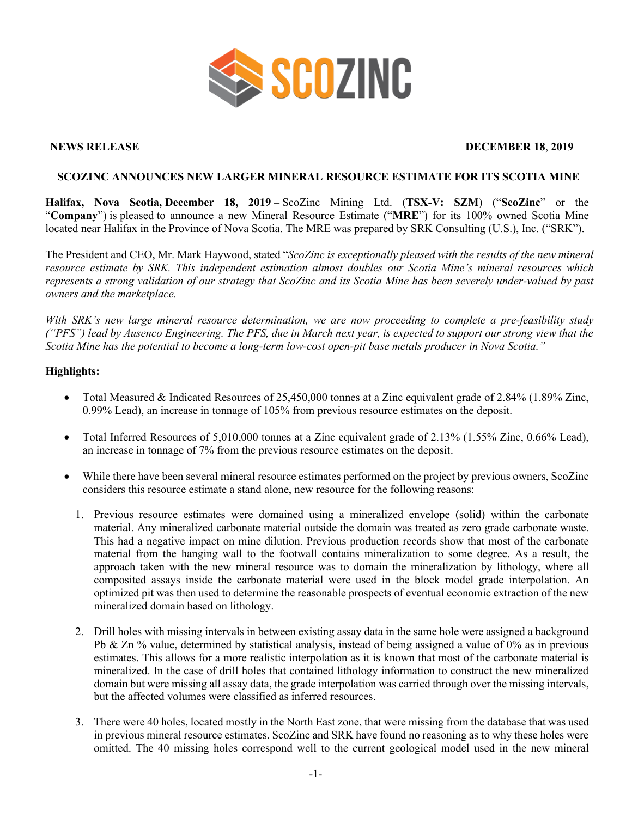

#### **NEWS RELEASE DECEMBER 18**, **2019**

#### **SCOZINC ANNOUNCES NEW LARGER MINERAL RESOURCE ESTIMATE FOR ITS SCOTIA MINE**

**Halifax, Nova Scotia, December 18, 2019 –** ScoZinc Mining Ltd. (**TSX-V: SZM**) ("**ScoZinc**" or the "**Company**") is pleased to announce a new Mineral Resource Estimate ("**MRE**") for its 100% owned Scotia Mine located near Halifax in the Province of Nova Scotia. The MRE was prepared by SRK Consulting (U.S.), Inc. ("SRK").

The President and CEO, Mr. Mark Haywood, stated "*ScoZinc is exceptionally pleased with the results of the new mineral resource estimate by SRK. This independent estimation almost doubles our Scotia Mine's mineral resources which represents a strong validation of our strategy that ScoZinc and its Scotia Mine has been severely under-valued by past owners and the marketplace.*

*With SRK's new large mineral resource determination, we are now proceeding to complete a pre-feasibility study ("PFS") lead by Ausenco Engineering. The PFS, due in March next year, is expected to support our strong view that the Scotia Mine has the potential to become a long-term low-cost open-pit base metals producer in Nova Scotia."*

#### **Highlights:**

- Total Measured & Indicated Resources of 25,450,000 tonnes at a Zinc equivalent grade of 2.84% (1.89% Zinc, 0.99% Lead), an increase in tonnage of 105% from previous resource estimates on the deposit.
- Total Inferred Resources of 5,010,000 tonnes at a Zinc equivalent grade of 2.13% (1.55% Zinc, 0.66% Lead), an increase in tonnage of 7% from the previous resource estimates on the deposit.
- While there have been several mineral resource estimates performed on the project by previous owners, ScoZinc considers this resource estimate a stand alone, new resource for the following reasons:
	- 1. Previous resource estimates were domained using a mineralized envelope (solid) within the carbonate material. Any mineralized carbonate material outside the domain was treated as zero grade carbonate waste. This had a negative impact on mine dilution. Previous production records show that most of the carbonate material from the hanging wall to the footwall contains mineralization to some degree. As a result, the approach taken with the new mineral resource was to domain the mineralization by lithology, where all composited assays inside the carbonate material were used in the block model grade interpolation. An optimized pit was then used to determine the reasonable prospects of eventual economic extraction of the new mineralized domain based on lithology.
	- 2. Drill holes with missing intervals in between existing assay data in the same hole were assigned a background Pb & Zn % value, determined by statistical analysis, instead of being assigned a value of 0% as in previous estimates. This allows for a more realistic interpolation as it is known that most of the carbonate material is mineralized. In the case of drill holes that contained lithology information to construct the new mineralized domain but were missing all assay data, the grade interpolation was carried through over the missing intervals, but the affected volumes were classified as inferred resources.
	- 3. There were 40 holes, located mostly in the North East zone, that were missing from the database that was used in previous mineral resource estimates. ScoZinc and SRK have found no reasoning as to why these holes were omitted. The 40 missing holes correspond well to the current geological model used in the new mineral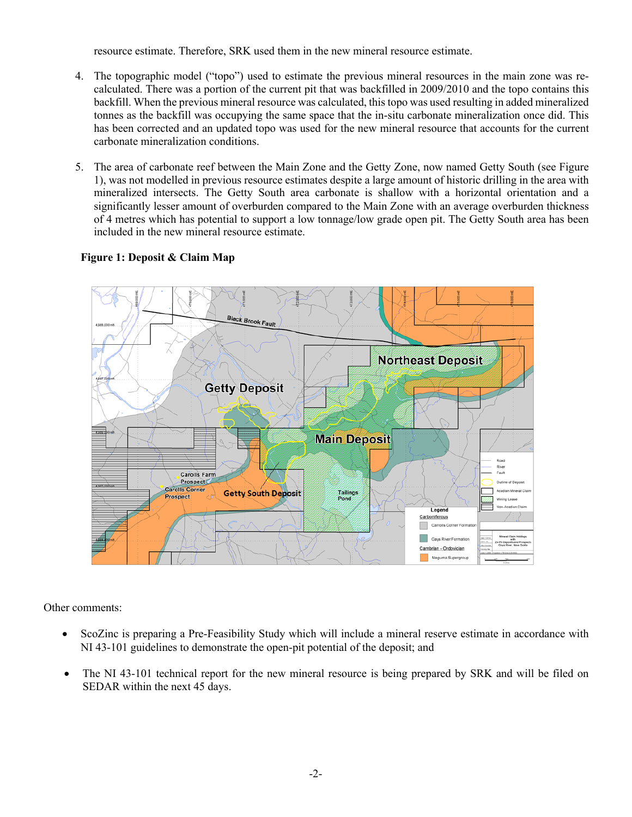resource estimate. Therefore, SRK used them in the new mineral resource estimate.

- 4. The topographic model ("topo") used to estimate the previous mineral resources in the main zone was recalculated. There was a portion of the current pit that was backfilled in 2009/2010 and the topo contains this backfill. When the previous mineral resource was calculated, this topo was used resulting in added mineralized tonnes as the backfill was occupying the same space that the in-situ carbonate mineralization once did. This has been corrected and an updated topo was used for the new mineral resource that accounts for the current carbonate mineralization conditions.
- 5. The area of carbonate reef between the Main Zone and the Getty Zone, now named Getty South (see Figure 1), was not modelled in previous resource estimates despite a large amount of historic drilling in the area with mineralized intersects. The Getty South area carbonate is shallow with a horizontal orientation and a significantly lesser amount of overburden compared to the Main Zone with an average overburden thickness of 4 metres which has potential to support a low tonnage/low grade open pit. The Getty South area has been included in the new mineral resource estimate.

# **Figure 1: Deposit & Claim Map**



Other comments:

- ScoZinc is preparing a Pre-Feasibility Study which will include a mineral reserve estimate in accordance with NI 43-101 guidelines to demonstrate the open-pit potential of the deposit; and
- The NI 43-101 technical report for the new mineral resource is being prepared by SRK and will be filed on SEDAR within the next 45 days.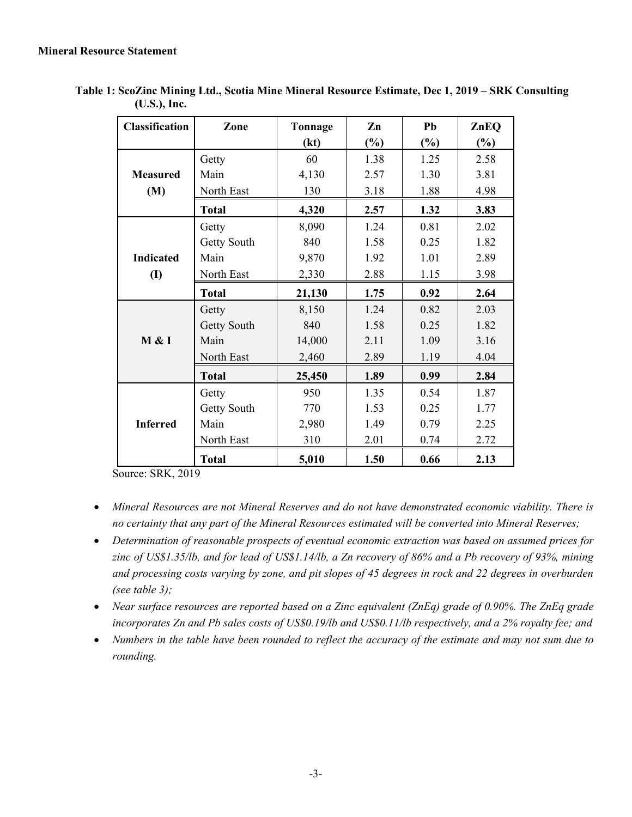| <b>Classification</b> | Zone         | Tonnage | Zn     | Pb     | ZnEQ   |
|-----------------------|--------------|---------|--------|--------|--------|
|                       |              | (kt)    | $(\%)$ | $(\%)$ | $(\%)$ |
|                       | Getty        | 60      | 1.38   | 1.25   | 2.58   |
| <b>Measured</b>       | Main         | 4,130   | 2.57   | 1.30   | 3.81   |
| (M)                   | North East   | 130     | 3.18   | 1.88   | 4.98   |
|                       | <b>Total</b> | 4,320   | 2.57   | 1.32   | 3.83   |
|                       | Getty        | 8,090   | 1.24   | 0.81   | 2.02   |
|                       | Getty South  | 840     | 1.58   | 0.25   | 1.82   |
| <b>Indicated</b>      | Main         | 9,870   | 1.92   | 1.01   | 2.89   |
| $\mathbf{I}$          | North East   | 2,330   | 2.88   | 1.15   | 3.98   |
|                       | <b>Total</b> | 21,130  | 1.75   | 0.92   | 2.64   |
|                       | Getty        | 8,150   | 1.24   | 0.82   | 2.03   |
| M & I                 | Getty South  | 840     | 1.58   | 0.25   | 1.82   |
|                       | Main         | 14,000  | 2.11   | 1.09   | 3.16   |
|                       | North East   | 2,460   | 2.89   | 1.19   | 4.04   |
|                       | <b>Total</b> | 25,450  | 1.89   | 0.99   | 2.84   |
|                       | Getty        | 950     | 1.35   | 0.54   | 1.87   |
| <b>Inferred</b>       | Getty South  | 770     | 1.53   | 0.25   | 1.77   |
|                       | Main         | 2,980   | 1.49   | 0.79   | 2.25   |
|                       | North East   | 310     | 2.01   | 0.74   | 2.72   |
|                       | <b>Total</b> | 5,010   | 1.50   | 0.66   | 2.13   |

**Table 1: ScoZinc Mining Ltd., Scotia Mine Mineral Resource Estimate, Dec 1, 2019 – SRK Consulting (U.S.), Inc.**

Source: SRK, 2019

- *Mineral Resources are not Mineral Reserves and do not have demonstrated economic viability. There is no certainty that any part of the Mineral Resources estimated will be converted into Mineral Reserves;*
- *Determination of reasonable prospects of eventual economic extraction was based on assumed prices for zinc of US\$1.35/lb, and for lead of US\$1.14/lb, a Zn recovery of 86% and a Pb recovery of 93%, mining and processing costs varying by zone, and pit slopes of 45 degrees in rock and 22 degrees in overburden (see table 3);*
- *Near surface resources are reported based on a Zinc equivalent (ZnEq) grade of 0.90%. The ZnEq grade incorporates Zn and Pb sales costs of US\$0.19/lb and US\$0.11/lb respectively, and a 2% royalty fee; and*
- *Numbers in the table have been rounded to reflect the accuracy of the estimate and may not sum due to rounding.*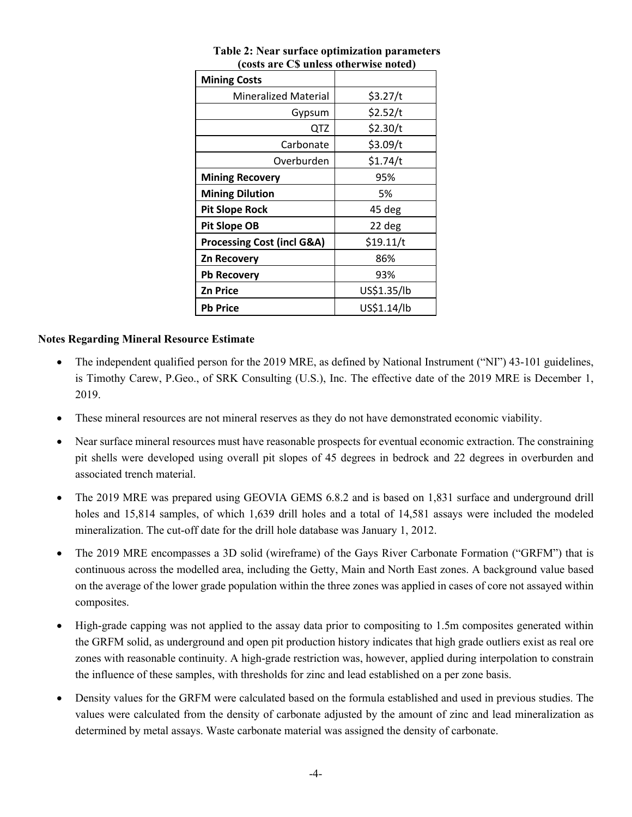| <b>Mining Costs</b>                   |             |  |
|---------------------------------------|-------------|--|
| <b>Mineralized Material</b>           | \$3.27/t    |  |
| Gypsum                                | \$2.52/t    |  |
| QTZ                                   | \$2.30/t    |  |
| Carbonate                             | \$3.09/t    |  |
| Overburden                            | \$1.74/t    |  |
| <b>Mining Recovery</b>                | 95%         |  |
| <b>Mining Dilution</b>                | 5%          |  |
| <b>Pit Slope Rock</b>                 | 45 deg      |  |
| <b>Pit Slope OB</b>                   | 22 deg      |  |
| <b>Processing Cost (incl G&amp;A)</b> | \$19.11/t   |  |
| <b>Zn Recovery</b>                    | 86%         |  |
| <b>Pb Recovery</b>                    | 93%         |  |
| <b>Zn Price</b>                       | US\$1.35/lb |  |
| <b>Pb Price</b>                       | US\$1.14/lb |  |

# **Table 2: Near surface optimization parameters (costs are C\$ unless otherwise noted)**

# **Notes Regarding Mineral Resource Estimate**

- The independent qualified person for the 2019 MRE, as defined by National Instrument ("NI") 43-101 guidelines, is Timothy Carew, P.Geo., of SRK Consulting (U.S.), Inc. The effective date of the 2019 MRE is December 1, 2019.
- These mineral resources are not mineral reserves as they do not have demonstrated economic viability.
- Near surface mineral resources must have reasonable prospects for eventual economic extraction. The constraining pit shells were developed using overall pit slopes of 45 degrees in bedrock and 22 degrees in overburden and associated trench material.
- The 2019 MRE was prepared using GEOVIA GEMS 6.8.2 and is based on 1,831 surface and underground drill holes and 15,814 samples, of which 1,639 drill holes and a total of 14,581 assays were included the modeled mineralization. The cut-off date for the drill hole database was January 1, 2012.
- The 2019 MRE encompasses a 3D solid (wireframe) of the Gays River Carbonate Formation ("GRFM") that is continuous across the modelled area, including the Getty, Main and North East zones. A background value based on the average of the lower grade population within the three zones was applied in cases of core not assayed within composites.
- High-grade capping was not applied to the assay data prior to compositing to 1.5m composites generated within the GRFM solid, as underground and open pit production history indicates that high grade outliers exist as real ore zones with reasonable continuity. A high-grade restriction was, however, applied during interpolation to constrain the influence of these samples, with thresholds for zinc and lead established on a per zone basis.
- Density values for the GRFM were calculated based on the formula established and used in previous studies. The values were calculated from the density of carbonate adjusted by the amount of zinc and lead mineralization as determined by metal assays. Waste carbonate material was assigned the density of carbonate.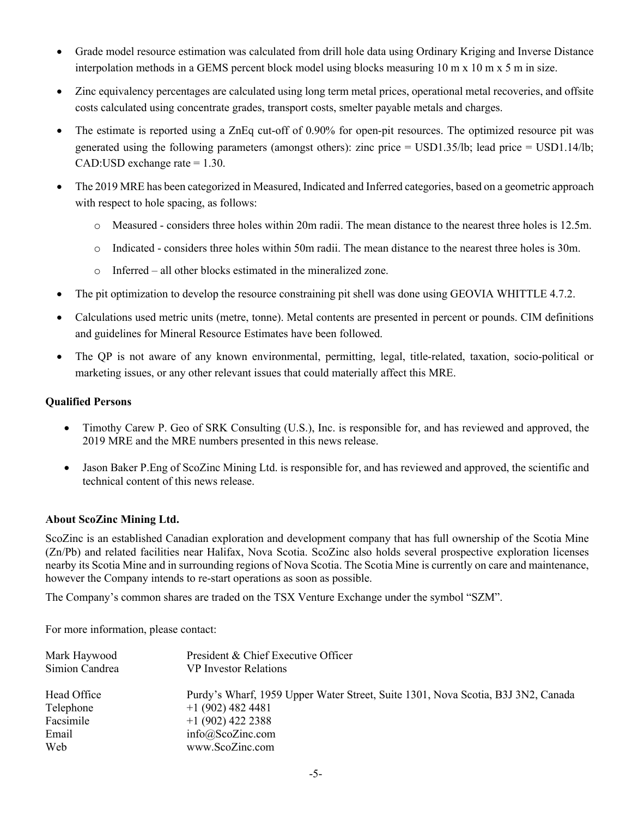- Grade model resource estimation was calculated from drill hole data using Ordinary Kriging and Inverse Distance interpolation methods in a GEMS percent block model using blocks measuring 10 m x 10 m x 5 m in size.
- Zinc equivalency percentages are calculated using long term metal prices, operational metal recoveries, and offsite costs calculated using concentrate grades, transport costs, smelter payable metals and charges.
- The estimate is reported using a ZnEq cut-off of 0.90% for open-pit resources. The optimized resource pit was generated using the following parameters (amongst others): zinc price = USD1.35/lb; lead price = USD1.14/lb; CAD:USD exchange rate  $= 1.30$ .
- The 2019 MRE has been categorized in Measured, Indicated and Inferred categories, based on a geometric approach with respect to hole spacing, as follows:
	- o Measured considers three holes within 20m radii. The mean distance to the nearest three holes is 12.5m.
	- $\circ$  Indicated considers three holes within 50m radii. The mean distance to the nearest three holes is 30m.
	- o Inferred all other blocks estimated in the mineralized zone.
- The pit optimization to develop the resource constraining pit shell was done using GEOVIA WHITTLE 4.7.2.
- Calculations used metric units (metre, tonne). Metal contents are presented in percent or pounds. CIM definitions and guidelines for Mineral Resource Estimates have been followed.
- The QP is not aware of any known environmental, permitting, legal, title-related, taxation, socio-political or marketing issues, or any other relevant issues that could materially affect this MRE.

# **Qualified Persons**

- Timothy Carew P. Geo of SRK Consulting (U.S.), Inc. is responsible for, and has reviewed and approved, the 2019 MRE and the MRE numbers presented in this news release.
- Jason Baker P.Eng of ScoZinc Mining Ltd. is responsible for, and has reviewed and approved, the scientific and technical content of this news release.

# **About ScoZinc Mining Ltd.**

ScoZinc is an established Canadian exploration and development company that has full ownership of the Scotia Mine (Zn/Pb) and related facilities near Halifax, Nova Scotia. ScoZinc also holds several prospective exploration licenses nearby its Scotia Mine and in surrounding regions of Nova Scotia. The Scotia Mine is currently on care and maintenance, however the Company intends to re-start operations as soon as possible.

The Company's common shares are traded on the TSX Venture Exchange under the symbol "SZM".

For more information, please contact:

| Mark Haywood<br>Simion Candrea | President & Chief Executive Officer<br><b>VP</b> Investor Relations              |  |
|--------------------------------|----------------------------------------------------------------------------------|--|
| Head Office                    | Purdy's Wharf, 1959 Upper Water Street, Suite 1301, Nova Scotia, B3J 3N2, Canada |  |
| Telephone                      | $+1(902)$ 482 4481                                                               |  |
| Facsimile                      | $+1(902)$ 422 2388                                                               |  |
| Email                          | info@ScoZinc.com                                                                 |  |
| Web                            | www.ScoZinc.com                                                                  |  |